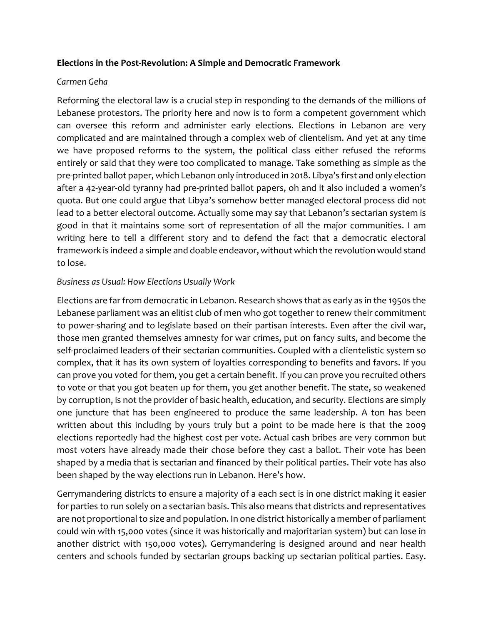## **Elections in the Post-Revolution: A Simple and Democratic Framework**

#### *Carmen Geha*

Reforming the electoral law is a crucial step in responding to the demands of the millions of Lebanese protestors. The priority here and now is to form a competent government which can oversee this reform and administer early elections. Elections in Lebanon are very complicated and are maintained through a complex web of clientelism. And yet at any time we have proposed reforms to the system, the political class either refused the reforms entirely or said that they were too complicated to manage. Take something as simple as the pre-printed ballot paper, which Lebanon only introduced in 2018. Libya's first and only election after a 42-year-old tyranny had pre-printed ballot papers, oh and it also included a women's quota. But one could argue that Libya's somehow better managed electoral process did not lead to a better electoral outcome. Actually some may say that Lebanon's sectarian system is good in that it maintains some sort of representation of all the major communities. I am writing here to tell a different story and to defend the fact that a democratic electoral framework is indeed a simple and doable endeavor, without which the revolution would stand to lose.

#### *Business as Usual: How Elections Usually Work*

Elections are far from democratic in Lebanon. Research shows that as early as in the 1950s the Lebanese parliament was an elitist club of men who got together to renew their commitment to power-sharing and to legislate based on their partisan interests. Even after the civil war, those men granted themselves amnesty for war crimes, put on fancy suits, and become the self-proclaimed leaders of their sectarian communities. Coupled with a clientelistic system so complex, that it has its own system of loyalties corresponding to benefits and favors. If you can prove you voted for them, you get a certain benefit. If you can prove you recruited others to vote or that you got beaten up for them, you get another benefit. The state, so weakened by corruption, is not the provider of basic health, education, and security. Elections are simply one juncture that has been engineered to produce the same leadership. A ton has been written about this including by yours truly but a point to be made here is that the 2009 elections reportedly had the highest cost per vote. Actual cash bribes are very common but most voters have already made their chose before they cast a ballot. Their vote has been shaped by a media that is sectarian and financed by their political parties. Their vote has also been shaped by the way elections run in Lebanon. Here's how.

Gerrymandering districts to ensure a majority of a each sect is in one district making it easier for parties to run solely on a sectarian basis. This also means that districts and representatives are not proportional to size and population. In one district historically a member of parliament could win with 15,000 votes (since it was historically and majoritarian system) but can lose in another district with 150,000 votes). Gerrymandering is designed around and near health centers and schools funded by sectarian groups backing up sectarian political parties. Easy.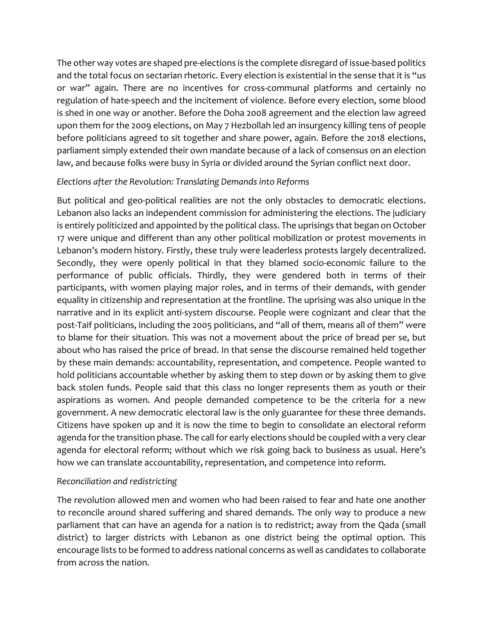The other way votes are shaped pre-elections is the complete disregard of issue-based politics and the total focus on sectarian rhetoric. Every election is existential in the sense that it is "us or war" again. There are no incentives for cross-communal platforms and certainly no regulation of hate-speech and the incitement of violence. Before every election, some blood is shed in one way or another. Before the Doha 2008 agreement and the election law agreed upon them for the 2009 elections, on May 7 Hezbollah led an insurgency killing tens of people before politicians agreed to sit together and share power, again. Before the 2018 elections, parliament simply extended their own mandate because of a lack of consensus on an election law, and because folks were busy in Syria or divided around the Syrian conflict next door.

## *Elections after the Revolution: Translating Demands into Reforms*

But political and geo-political realities are not the only obstacles to democratic elections. Lebanon also lacks an independent commission for administering the elections. The judiciary is entirely politicized and appointed by the political class. The uprisings that began on October 17 were unique and different than any other political mobilization or protest movements in Lebanon's modern history. Firstly, these truly were leaderless protests largely decentralized. Secondly, they were openly political in that they blamed socio-economic failure to the performance of public officials. Thirdly, they were gendered both in terms of their participants, with women playing major roles, and in terms of their demands, with gender equality in citizenship and representation at the frontline. The uprising was also unique in the narrative and in its explicit anti-system discourse. People were cognizant and clear that the post-Taif politicians, including the 2005 politicians, and "all of them, means all of them" were to blame for their situation. This was not a movement about the price of bread per se, but about who has raised the price of bread. In that sense the discourse remained held together by these main demands: accountability, representation, and competence. People wanted to hold politicians accountable whether by asking them to step down or by asking them to give back stolen funds. People said that this class no longer represents them as youth or their aspirations as women. And people demanded competence to be the criteria for a new government. A new democratic electoral law is the only guarantee for these three demands. Citizens have spoken up and it is now the time to begin to consolidate an electoral reform agenda for the transition phase. The call for early elections should be coupled with a very clear agenda for electoral reform; without which we risk going back to business as usual. Here's how we can translate accountability, representation, and competence into reform.

## *Reconciliation and redistricting*

The revolution allowed men and women who had been raised to fear and hate one another to reconcile around shared suffering and shared demands. The only way to produce a new parliament that can have an agenda for a nation is to redistrict; away from the Qada (small district) to larger districts with Lebanon as one district being the optimal option. This encourage lists to be formed to address national concerns as well as candidates to collaborate from across the nation.